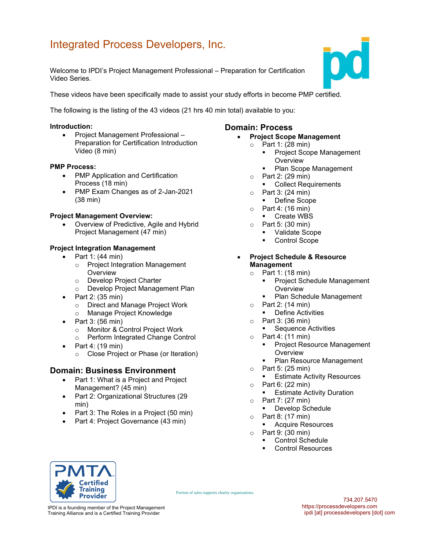# Integrated Process Developers, Inc.

Welcome to IPDI's Project Management Professional – Preparation for Certification Video Series.

These videos have been specifically made to assist your study efforts in become PMP certified.

The following is the listing of the 43 videos (21 hrs 40 min total) available to you:

#### Introduction:

• Project Management Professional – Preparation for Certification Introduction Video (8 min)

#### PMP Process:

- PMP Application and Certification Process (18 min)
- PMP Exam Changes as of 2-Jan-2021 (38 min)

#### Project Management Overview:

 Overview of Predictive, Agile and Hybrid Project Management (47 min)

#### Project Integration Management

- $\bullet$  Part 1: (44 min)
	- o Project Integration Management **Overview**
	- o Develop Project Charter
	- o Develop Project Management Plan
- $\bullet$  Part 2: (35 min)
	- o Direct and Manage Project Work
	- o Manage Project Knowledge
- $\bullet$  Part 3: (56 min)
	- o Monitor & Control Project Work
	- o Perform Integrated Change Control
- $\bullet$  Part 4: (19 min)
	- o Close Project or Phase (or Iteration)

## Domain: Business Environment

- Part 1: What is a Project and Project Management? (45 min)
- Part 2: Organizational Structures (29 min)
- Part 3: The Roles in a Project (50 min)
- Part 4: Project Governance (43 min)

### Domain: Process

#### Project Scope Management

- o Part 1: (28 min)
	- Project Scope Management **Overview**
	- Plan Scope Management
- o Part 2: (29 min)
	- **Collect Requirements**
- $\circ$  Part 3: (24 min)
	- Define Scope
- $\circ$  Part 4: (16 min)
- Create WBS
- o Part 5: (30 min)
	- Validate Scope
	- Control Scope
- Project Schedule & Resource Management
	- $\circ$  Part 1: (18 min)
		- Project Schedule Management **Overview**
		- **Plan Schedule Management**
	- o Part 2: (14 min)
		- **•** Define Activities
	- o Part 3: (36 min)
		- **Sequence Activities**
	- $\circ$  Part 4: (11 min)
		- **Project Resource Management Overview**
		- Plan Resource Management
	- $\circ$  Part 5: (25 min)
		- **Estimate Activity Resources**
	- $\circ$  Part 6: (22 min)
		- Estimate Activity Duration
	- o Part 7: (27 min)
		- **•** Develop Schedule
	- o Part 8: (17 min)

Portion of sales supports charity organizations.

- **Acquire Resources**
- o Part 9: (30 min)
	- **Control Schedule**
	- **Control Resources**



IPDI is a founding member of the Project Management Training Alliance and is a Certified Training Provider

734.207.5470 https://processdevelopers.com ipdi [at] processdevelopers [dot] com